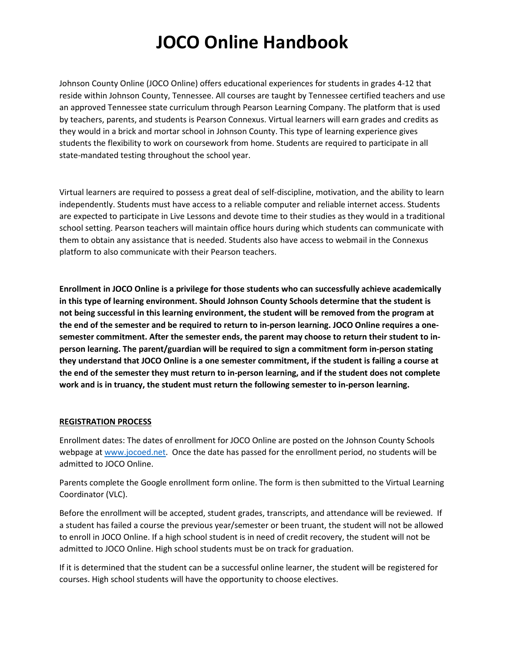Johnson County Online (JOCO Online) offers educational experiences for students in grades 4-12 that reside within Johnson County, Tennessee. All courses are taught by Tennessee certified teachers and use an approved Tennessee state curriculum through Pearson Learning Company. The platform that is used by teachers, parents, and students is Pearson Connexus. Virtual learners will earn grades and credits as they would in a brick and mortar school in Johnson County. This type of learning experience gives students the flexibility to work on coursework from home. Students are required to participate in all state-mandated testing throughout the school year.

Virtual learners are required to possess a great deal of self-discipline, motivation, and the ability to learn independently. Students must have access to a reliable computer and reliable internet access. Students are expected to participate in Live Lessons and devote time to their studies as they would in a traditional school setting. Pearson teachers will maintain office hours during which students can communicate with them to obtain any assistance that is needed. Students also have access to webmail in the Connexus platform to also communicate with their Pearson teachers.

**Enrollment in JOCO Online is a privilege for those students who can successfully achieve academically in this type of learning environment. Should Johnson County Schools determine that the student is not being successful in this learning environment, the student will be removed from the program at the end of the semester and be required to return to in-person learning. JOCO Online requires a onesemester commitment. After the semester ends, the parent may choose to return their student to inperson learning. The parent/guardian will be required to sign a commitment form in-person stating they understand that JOCO Online is a one semester commitment, if the student is failing a course at the end of the semester they must return to in-person learning, and if the student does not complete work and is in truancy, the student must return the following semester to in-person learning.**

#### **REGISTRATION PROCESS**

Enrollment dates: The dates of enrollment for JOCO Online are posted on the Johnson County Schools webpage a[t www.jocoed.net.](http://www.jocoed.net/) Once the date has passed for the enrollment period, no students will be admitted to JOCO Online.

Parents complete the Google enrollment form online. The form is then submitted to the Virtual Learning Coordinator (VLC).

Before the enrollment will be accepted, student grades, transcripts, and attendance will be reviewed. If a student has failed a course the previous year/semester or been truant, the student will not be allowed to enroll in JOCO Online. If a high school student is in need of credit recovery, the student will not be admitted to JOCO Online. High school students must be on track for graduation.

If it is determined that the student can be a successful online learner, the student will be registered for courses. High school students will have the opportunity to choose electives.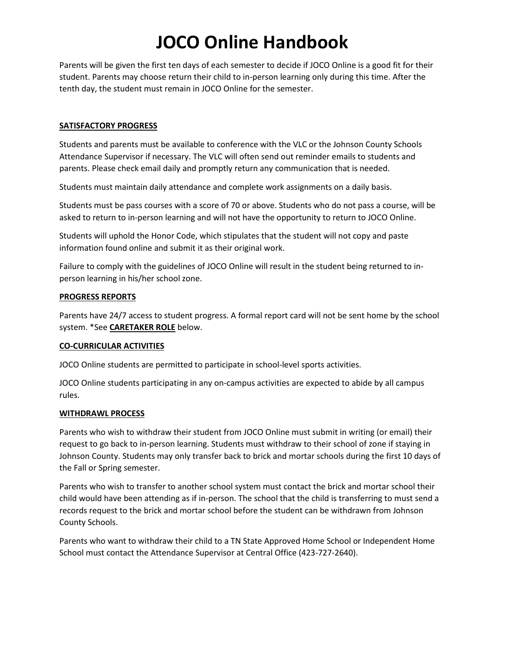Parents will be given the first ten days of each semester to decide if JOCO Online is a good fit for their student. Parents may choose return their child to in-person learning only during this time. After the tenth day, the student must remain in JOCO Online for the semester.

## **SATISFACTORY PROGRESS**

Students and parents must be available to conference with the VLC or the Johnson County Schools Attendance Supervisor if necessary. The VLC will often send out reminder emails to students and parents. Please check email daily and promptly return any communication that is needed.

Students must maintain daily attendance and complete work assignments on a daily basis.

Students must be pass courses with a score of 70 or above. Students who do not pass a course, will be asked to return to in-person learning and will not have the opportunity to return to JOCO Online.

Students will uphold the Honor Code, which stipulates that the student will not copy and paste information found online and submit it as their original work.

Failure to comply with the guidelines of JOCO Online will result in the student being returned to inperson learning in his/her school zone.

#### **PROGRESS REPORTS**

Parents have 24/7 access to student progress. A formal report card will not be sent home by the school system. \*See **CARETAKER ROLE** below.

#### **CO-CURRICULAR ACTIVITIES**

JOCO Online students are permitted to participate in school-level sports activities.

JOCO Online students participating in any on-campus activities are expected to abide by all campus rules.

#### **WITHDRAWL PROCESS**

Parents who wish to withdraw their student from JOCO Online must submit in writing (or email) their request to go back to in-person learning. Students must withdraw to their school of zone if staying in Johnson County. Students may only transfer back to brick and mortar schools during the first 10 days of the Fall or Spring semester.

Parents who wish to transfer to another school system must contact the brick and mortar school their child would have been attending as if in-person. The school that the child is transferring to must send a records request to the brick and mortar school before the student can be withdrawn from Johnson County Schools.

Parents who want to withdraw their child to a TN State Approved Home School or Independent Home School must contact the Attendance Supervisor at Central Office (423-727-2640).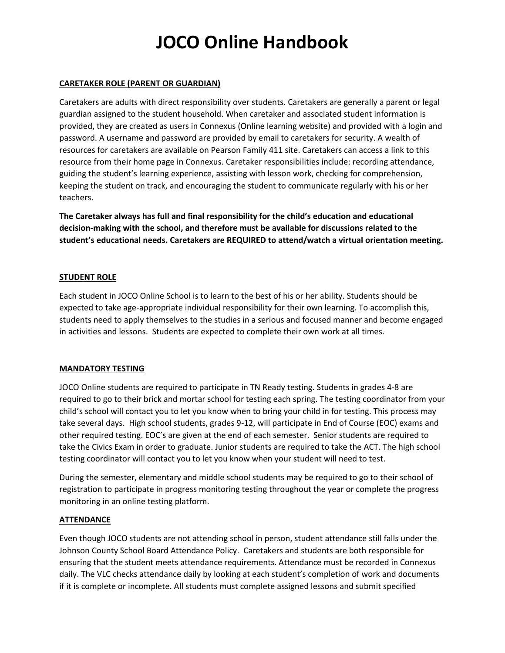#### **CARETAKER ROLE (PARENT OR GUARDIAN)**

Caretakers are adults with direct responsibility over students. Caretakers are generally a parent or legal guardian assigned to the student household. When caretaker and associated student information is provided, they are created as users in Connexus (Online learning website) and provided with a login and password. A username and password are provided by email to caretakers for security. A wealth of resources for caretakers are available on Pearson Family 411 site. Caretakers can access a link to this resource from their home page in Connexus. Caretaker responsibilities include: recording attendance, guiding the student's learning experience, assisting with lesson work, checking for comprehension, keeping the student on track, and encouraging the student to communicate regularly with his or her teachers.

**The Caretaker always has full and final responsibility for the child's education and educational decision-making with the school, and therefore must be available for discussions related to the student's educational needs. Caretakers are REQUIRED to attend/watch a virtual orientation meeting.**

## **STUDENT ROLE**

Each student in JOCO Online School is to learn to the best of his or her ability. Students should be expected to take age-appropriate individual responsibility for their own learning. To accomplish this, students need to apply themselves to the studies in a serious and focused manner and become engaged in activities and lessons. Students are expected to complete their own work at all times.

#### **MANDATORY TESTING**

JOCO Online students are required to participate in TN Ready testing. Students in grades 4-8 are required to go to their brick and mortar school for testing each spring. The testing coordinator from your child's school will contact you to let you know when to bring your child in for testing. This process may take several days. High school students, grades 9-12, will participate in End of Course (EOC) exams and other required testing. EOC's are given at the end of each semester. Senior students are required to take the Civics Exam in order to graduate. Junior students are required to take the ACT. The high school testing coordinator will contact you to let you know when your student will need to test.

During the semester, elementary and middle school students may be required to go to their school of registration to participate in progress monitoring testing throughout the year or complete the progress monitoring in an online testing platform.

#### **ATTENDANCE**

Even though JOCO students are not attending school in person, student attendance still falls under the Johnson County School Board Attendance Policy. Caretakers and students are both responsible for ensuring that the student meets attendance requirements. Attendance must be recorded in Connexus daily. The VLC checks attendance daily by looking at each student's completion of work and documents if it is complete or incomplete. All students must complete assigned lessons and submit specified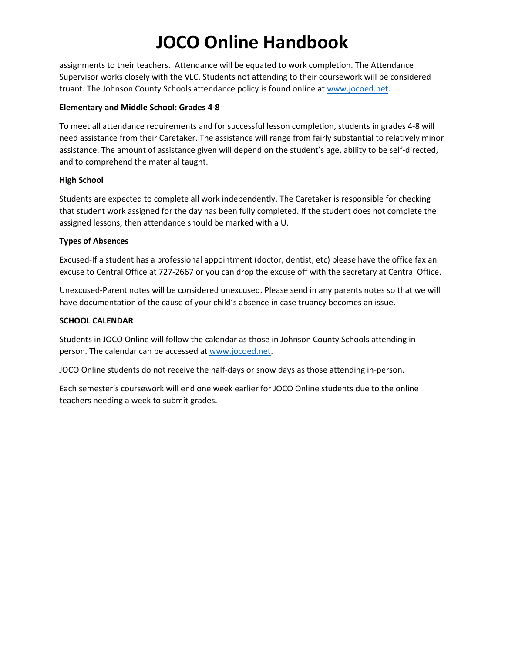assignments to their teachers. Attendance will be equated to work completion. The Attendance Supervisor works closely with the VLC. Students not attending to their coursework will be considered truant. The Johnson County Schools attendance policy is found online a[t www.jocoed.net.](http://www.jocoed.net/)

## **Elementary and Middle School: Grades 4-8**

To meet all attendance requirements and for successful lesson completion, students in grades 4-8 will need assistance from their Caretaker. The assistance will range from fairly substantial to relatively minor assistance. The amount of assistance given will depend on the student's age, ability to be self-directed, and to comprehend the material taught.

## **High School**

Students are expected to complete all work independently. The Caretaker is responsible for checking that student work assigned for the day has been fully completed. If the student does not complete the assigned lessons, then attendance should be marked with a U.

## **Types of Absences**

Excused-If a student has a professional appointment (doctor, dentist, etc) please have the office fax an excuse to Central Office at 727-2667 or you can drop the excuse off with the secretary at Central Office.

Unexcused-Parent notes will be considered unexcused. Please send in any parents notes so that we will have documentation of the cause of your child's absence in case truancy becomes an issue.

## **SCHOOL CALENDAR**

Students in JOCO Online will follow the calendar as those in Johnson County Schools attending inperson. The calendar can be accessed at [www.jocoed.net.](http://www.jocoed.net/)

JOCO Online students do not receive the half-days or snow days as those attending in-person.

Each semester's coursework will end one week earlier for JOCO Online students due to the online teachers needing a week to submit grades.